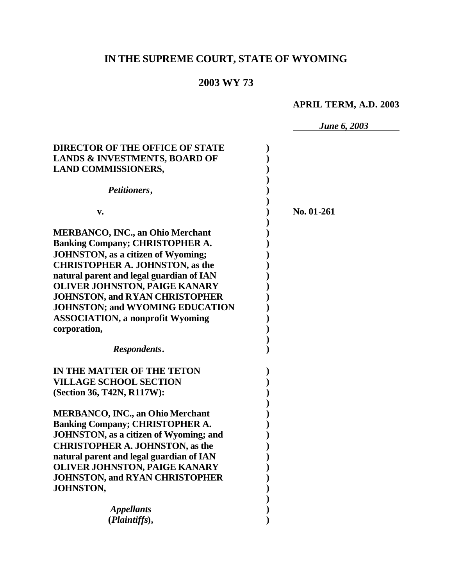# **IN THE SUPREME COURT, STATE OF WYOMING**

## **2003 WY 73**

## **APRIL TERM, A.D. 2003**

|                                               | <b>June 6, 2003</b> |
|-----------------------------------------------|---------------------|
|                                               |                     |
| <b>DIRECTOR OF THE OFFICE OF STATE</b>        |                     |
| <b>LANDS &amp; INVESTMENTS, BOARD OF</b>      |                     |
| <b>LAND COMMISSIONERS,</b>                    |                     |
| Petitioners,                                  |                     |
| v.                                            | No. 01-261          |
|                                               |                     |
| <b>MERBANCO, INC., an Ohio Merchant</b>       |                     |
| <b>Banking Company; CHRISTOPHER A.</b>        |                     |
| <b>JOHNSTON, as a citizen of Wyoming;</b>     |                     |
| <b>CHRISTOPHER A. JOHNSTON, as the</b>        |                     |
| natural parent and legal guardian of IAN      |                     |
| <b>OLIVER JOHNSTON, PAIGE KANARY</b>          |                     |
| <b>JOHNSTON, and RYAN CHRISTOPHER</b>         |                     |
| <b>JOHNSTON; and WYOMING EDUCATION</b>        |                     |
| <b>ASSOCIATION, a nonprofit Wyoming</b>       |                     |
| corporation,                                  |                     |
| Respondents.                                  |                     |
| IN THE MATTER OF THE TETON                    |                     |
| <b>VILLAGE SCHOOL SECTION</b>                 |                     |
| (Section 36, T42N, R117W):                    |                     |
|                                               |                     |
| <b>MERBANCO, INC., an Ohio Merchant</b>       |                     |
| <b>Banking Company; CHRISTOPHER A.</b>        |                     |
| <b>JOHNSTON, as a citizen of Wyoming; and</b> |                     |
| <b>CHRISTOPHER A. JOHNSTON, as the</b>        |                     |
| natural parent and legal guardian of IAN      |                     |
| OLIVER JOHNSTON, PAIGE KANARY                 |                     |
| <b>JOHNSTON, and RYAN CHRISTOPHER</b>         |                     |
| JOHNSTON,                                     |                     |
|                                               |                     |
| <b>Appellants</b>                             |                     |
| (Plaintiffs),                                 |                     |
|                                               |                     |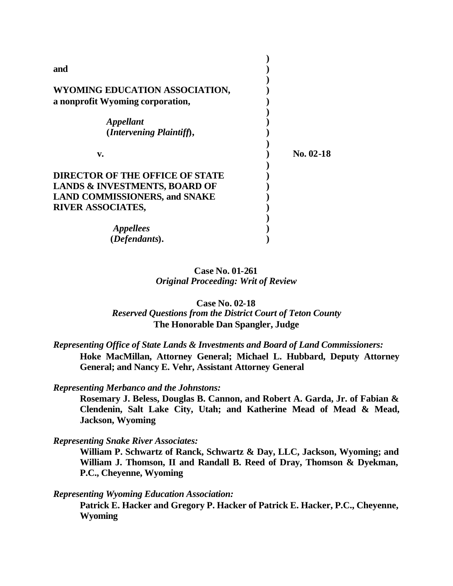| and                                      |             |
|------------------------------------------|-------------|
| WYOMING EDUCATION ASSOCIATION,           |             |
| a nonprofit Wyoming corporation,         |             |
| <i><b>Appellant</b></i>                  |             |
| (Intervening Plaintiff),                 |             |
|                                          |             |
| v.                                       | $No. 02-18$ |
| <b>DIRECTOR OF THE OFFICE OF STATE</b>   |             |
| <b>LANDS &amp; INVESTMENTS, BOARD OF</b> |             |
| <b>LAND COMMISSIONERS, and SNAKE</b>     |             |
| <b>RIVER ASSOCIATES,</b>                 |             |
|                                          |             |
| <i>Appellees</i>                         |             |
| (Defendants).                            |             |

**Case No. 01-261** *Original Proceeding: Writ of Review*

**Case No. 02-18** *Reserved Questions from the District Court of Teton County* **The Honorable Dan Spangler, Judge**

*Representing Office of State Lands & Investments and Board of Land Commissioners:* **Hoke MacMillan, Attorney General; Michael L. Hubbard, Deputy Attorney General; and Nancy E. Vehr, Assistant Attorney General**

*Representing Merbanco and the Johnstons:*

**Rosemary J. Beless, Douglas B. Cannon, and Robert A. Garda, Jr. of Fabian & Clendenin, Salt Lake City, Utah; and Katherine Mead of Mead & Mead, Jackson, Wyoming** 

*Representing Snake River Associates:*

**William P. Schwartz of Ranck, Schwartz & Day, LLC, Jackson, Wyoming; and William J. Thomson, II and Randall B. Reed of Dray, Thomson & Dyekman, P.C., Cheyenne, Wyoming**

*Representing Wyoming Education Association:*

**Patrick E. Hacker and Gregory P. Hacker of Patrick E. Hacker, P.C., Cheyenne, Wyoming**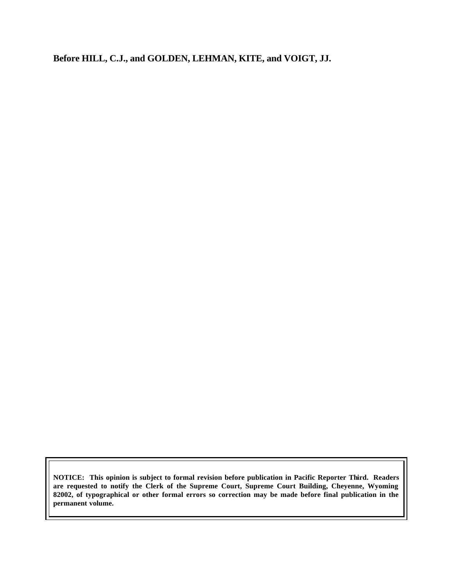**Before HILL, C.J., and GOLDEN, LEHMAN, KITE, and VOIGT, JJ.**

**NOTICE: This opinion is subject to formal revision before publication in Pacific Reporter Third. Readers are requested to notify the Clerk of the Supreme Court, Supreme Court Building, Cheyenne, Wyoming 82002, of typographical or other formal errors so correction may be made before final publication in the permanent volume.**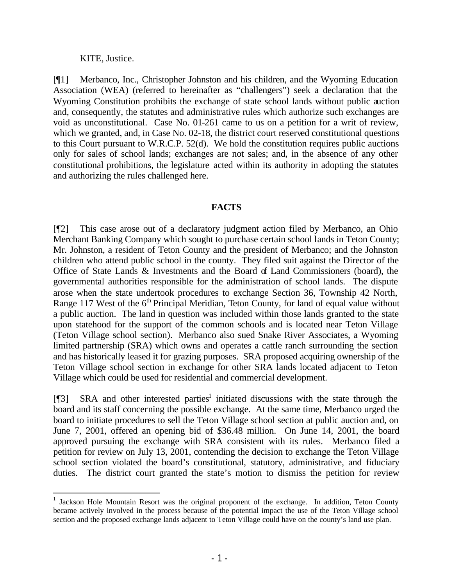KITE, Justice.

[¶1] Merbanco, Inc., Christopher Johnston and his children, and the Wyoming Education Association (WEA) (referred to hereinafter as "challengers") seek a declaration that the Wyoming Constitution prohibits the exchange of state school lands without public auction and, consequently, the statutes and administrative rules which authorize such exchanges are void as unconstitutional. Case No. 01-261 came to us on a petition for a writ of review, which we granted, and, in Case No. 02-18, the district court reserved constitutional questions to this Court pursuant to W.R.C.P. 52(d). We hold the constitution requires public auctions only for sales of school lands; exchanges are not sales; and, in the absence of any other constitutional prohibitions, the legislature acted within its authority in adopting the statutes and authorizing the rules challenged here.

## **FACTS**

[¶2] This case arose out of a declaratory judgment action filed by Merbanco, an Ohio Merchant Banking Company which sought to purchase certain school lands in Teton County; Mr. Johnston, a resident of Teton County and the president of Merbanco; and the Johnston children who attend public school in the county. They filed suit against the Director of the Office of State Lands  $\&$  Investments and the Board of Land Commissioners (board), the governmental authorities responsible for the administration of school lands. The dispute arose when the state undertook procedures to exchange Section 36, Township 42 North, Range 117 West of the 6<sup>th</sup> Principal Meridian, Teton County, for land of equal value without a public auction. The land in question was included within those lands granted to the state upon statehood for the support of the common schools and is located near Teton Village (Teton Village school section). Merbanco also sued Snake River Associates, a Wyoming limited partnership (SRA) which owns and operates a cattle ranch surrounding the section and has historically leased it for grazing purposes. SRA proposed acquiring ownership of the Teton Village school section in exchange for other SRA lands located adjacent to Teton Village which could be used for residential and commercial development.

[¶3] SRA and other interested parties<sup>1</sup> initiated discussions with the state through the board and its staff concerning the possible exchange. At the same time, Merbanco urged the board to initiate procedures to sell the Teton Village school section at public auction and, on June 7, 2001, offered an opening bid of \$36.48 million. On June 14, 2001, the board approved pursuing the exchange with SRA consistent with its rules. Merbanco filed a petition for review on July 13, 2001, contending the decision to exchange the Teton Village school section violated the board's constitutional, statutory, administrative, and fiduciary duties. The district court granted the state's motion to dismiss the petition for review

<sup>&</sup>lt;sup>1</sup> Jackson Hole Mountain Resort was the original proponent of the exchange. In addition, Teton County became actively involved in the process because of the potential impact the use of the Teton Village school section and the proposed exchange lands adjacent to Teton Village could have on the county's land use plan.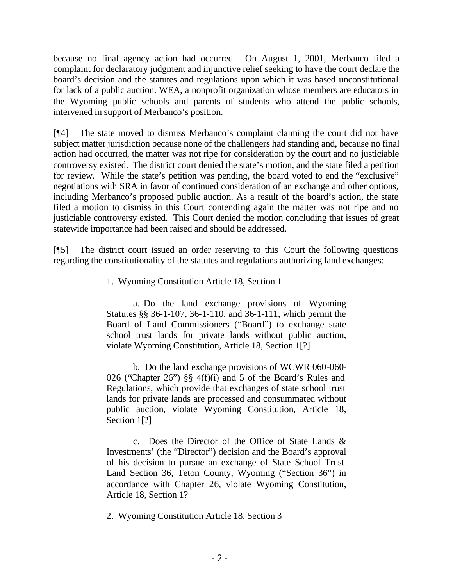because no final agency action had occurred. On August 1, 2001, Merbanco filed a complaint for declaratory judgment and injunctive relief seeking to have the court declare the board's decision and the statutes and regulations upon which it was based unconstitutional for lack of a public auction. WEA, a nonprofit organization whose members are educators in the Wyoming public schools and parents of students who attend the public schools, intervened in support of Merbanco's position.

[¶4] The state moved to dismiss Merbanco's complaint claiming the court did not have subject matter jurisdiction because none of the challengers had standing and, because no final action had occurred, the matter was not ripe for consideration by the court and no justiciable controversy existed. The district court denied the state's motion, and the state filed a petition for review. While the state's petition was pending, the board voted to end the "exclusive" negotiations with SRA in favor of continued consideration of an exchange and other options, including Merbanco's proposed public auction. As a result of the board's action, the state filed a motion to dismiss in this Court contending again the matter was not ripe and no justiciable controversy existed. This Court denied the motion concluding that issues of great statewide importance had been raised and should be addressed.

[¶5] The district court issued an order reserving to this Court the following questions regarding the constitutionality of the statutes and regulations authorizing land exchanges:

1. Wyoming Constitution Article 18, Section 1

a. Do the land exchange provisions of Wyoming Statutes §§ 36-1-107, 36-1-110, and 36-1-111, which permit the Board of Land Commissioners ("Board") to exchange state school trust lands for private lands without public auction, violate Wyoming Constitution, Article 18, Section 1[?]

b. Do the land exchange provisions of WCWR 060-060- 026 ("Chapter 26") §§ 4(f)(i) and 5 of the Board's Rules and Regulations, which provide that exchanges of state school trust lands for private lands are processed and consummated without public auction, violate Wyoming Constitution, Article 18, Section 1<sup>[?]</sup>

c. Does the Director of the Office of State Lands & Investments' (the "Director") decision and the Board's approval of his decision to pursue an exchange of State School Trust Land Section 36, Teton County, Wyoming ("Section 36") in accordance with Chapter 26, violate Wyoming Constitution, Article 18, Section 1?

2. Wyoming Constitution Article 18, Section 3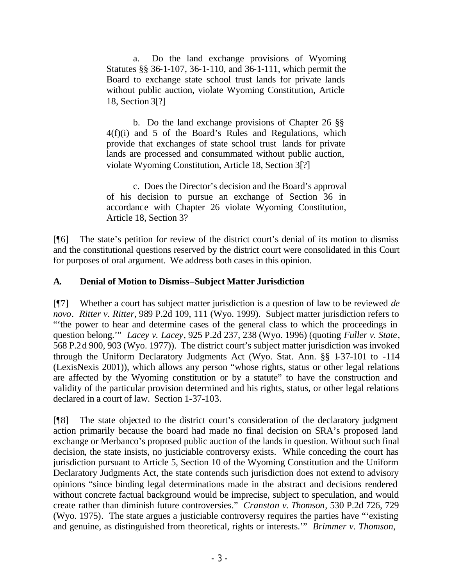a. Do the land exchange provisions of Wyoming Statutes §§ 36-1-107, 36-1-110, and 36-1-111, which permit the Board to exchange state school trust lands for private lands without public auction, violate Wyoming Constitution, Article 18, Section 3[?]

b. Do the land exchange provisions of Chapter 26 §§ 4(f)(i) and 5 of the Board's Rules and Regulations, which provide that exchanges of state school trust lands for private lands are processed and consummated without public auction, violate Wyoming Constitution, Article 18, Section 3[?]

c. Does the Director's decision and the Board's approval of his decision to pursue an exchange of Section 36 in accordance with Chapter 26 violate Wyoming Constitution, Article 18, Section 3?

[¶6] The state's petition for review of the district court's denial of its motion to dismiss and the constitutional questions reserved by the district court were consolidated in this Court for purposes of oral argument. We address both cases in this opinion.

## **A. Denial of Motion to Dismiss–Subject Matter Jurisdiction**

[¶7] Whether a court has subject matter jurisdiction is a question of law to be reviewed *de novo*. *Ritter v. Ritter*, 989 P.2d 109, 111 (Wyo. 1999). Subject matter jurisdiction refers to "'the power to hear and determine cases of the general class to which the proceedings in question belong.'" *Lacey v. Lacey*, 925 P.2d 237, 238 (Wyo. 1996) (quoting *Fuller v. State*, 568 P.2d 900, 903 (Wyo. 1977)). The district court's subject matter jurisdiction was invoked through the Uniform Declaratory Judgments Act (Wyo. Stat. Ann. §§ 1-37-101 to -114 (LexisNexis 2001)), which allows any person "whose rights, status or other legal relations are affected by the Wyoming constitution or by a statute" to have the construction and validity of the particular provision determined and his rights, status, or other legal relations declared in a court of law. Section 1-37-103.

[¶8] The state objected to the district court's consideration of the declaratory judgment action primarily because the board had made no final decision on SRA's proposed land exchange or Merbanco's proposed public auction of the lands in question. Without such final decision, the state insists, no justiciable controversy exists. While conceding the court has jurisdiction pursuant to Article 5, Section 10 of the Wyoming Constitution and the Uniform Declaratory Judgments Act, the state contends such jurisdiction does not extend to advisory opinions "since binding legal determinations made in the abstract and decisions rendered without concrete factual background would be imprecise, subject to speculation, and would create rather than diminish future controversies." *Cranston v. Thomson*, 530 P.2d 726, 729 (Wyo. 1975)*.* The state argues a justiciable controversy requires the parties have "'existing and genuine, as distinguished from theoretical, rights or interests.'" *Brimmer v. Thomson*,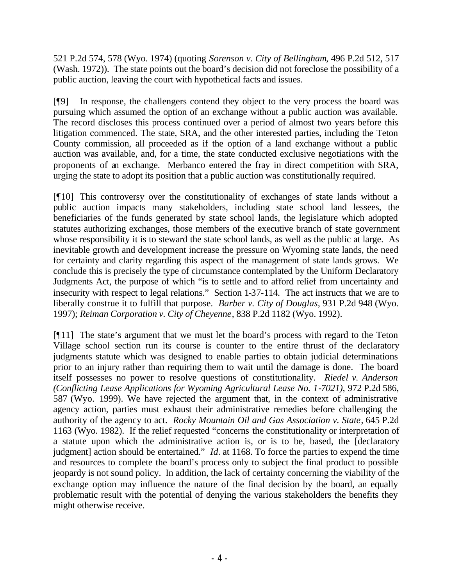521 P.2d 574, 578 (Wyo. 1974) (quoting *Sorenson v. City of Bellingham*, 496 P.2d 512, 517 (Wash. 1972)). The state points out the board's decision did not foreclose the possibility of a public auction, leaving the court with hypothetical facts and issues.

[¶9] In response, the challengers contend they object to the very process the board was pursuing which assumed the option of an exchange without a public auction was available. The record discloses this process continued over a period of almost two years before this litigation commenced. The state, SRA, and the other interested parties, including the Teton County commission, all proceeded as if the option of a land exchange without a public auction was available, and, for a time, the state conducted exclusive negotiations with the proponents of an exchange. Merbanco entered the fray in direct competition with SRA, urging the state to adopt its position that a public auction was constitutionally required.

[¶10] This controversy over the constitutionality of exchanges of state lands without a public auction impacts many stakeholders, including state school land lessees, the beneficiaries of the funds generated by state school lands, the legislature which adopted statutes authorizing exchanges, those members of the executive branch of state government whose responsibility it is to steward the state school lands, as well as the public at large. As inevitable growth and development increase the pressure on Wyoming state lands, the need for certainty and clarity regarding this aspect of the management of state lands grows. We conclude this is precisely the type of circumstance contemplated by the Uniform Declaratory Judgments Act, the purpose of which "is to settle and to afford relief from uncertainty and insecurity with respect to legal relations." Section 1-37-114. The act instructs that we are to liberally construe it to fulfill that purpose. *Barber v. City of Douglas*, 931 P.2d 948 (Wyo. 1997); *Reiman Corporation v. City of Cheyenne*, 838 P.2d 1182 (Wyo. 1992).

[¶11] The state's argument that we must let the board's process with regard to the Teton Village school section run its course is counter to the entire thrust of the declaratory judgments statute which was designed to enable parties to obtain judicial determinations prior to an injury rather than requiring them to wait until the damage is done. The board itself possesses no power to resolve questions of constitutionality. *Riedel v. Anderson (Conflicting Lease Applications for Wyoming Agricultural Lease No. 1-7021), 972 P.2d 586,* 587 (Wyo. 1999). We have rejected the argument that, in the context of administrative agency action, parties must exhaust their administrative remedies before challenging the authority of the agency to act. *Rocky Mountain Oil and Gas Association v. State*, 645 P.2d 1163 (Wyo. 1982). If the relief requested "concerns the constitutionality or interpretation of a statute upon which the administrative action is, or is to be, based, the [declaratory judgment] action should be entertained." *Id.* at 1168. To force the parties to expend the time and resources to complete the board's process only to subject the final product to possible jeopardy is not sound policy. In addition, the lack of certainty concerning the viability of the exchange option may influence the nature of the final decision by the board, an equally problematic result with the potential of denying the various stakeholders the benefits they might otherwise receive.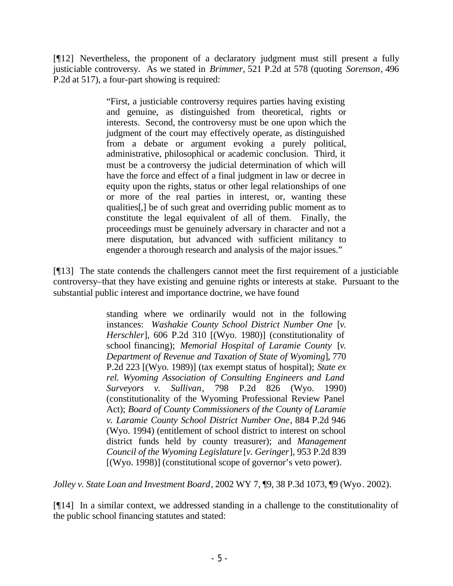[¶12] Nevertheless, the proponent of a declaratory judgment must still present a fully justiciable controversy. As we stated in *Brimmer,* 521 P.2d at 578 (quoting *Sorenson*, 496 P.2d at 517), a four-part showing is required:

> "First, a justiciable controversy requires parties having existing and genuine, as distinguished from theoretical, rights or interests. Second, the controversy must be one upon which the judgment of the court may effectively operate, as distinguished from a debate or argument evoking a purely political, administrative, philosophical or academic conclusion. Third, it must be a controversy the judicial determination of which will have the force and effect of a final judgment in law or decree in equity upon the rights, status or other legal relationships of one or more of the real parties in interest, or, wanting these qualities[,] be of such great and overriding public moment as to constitute the legal equivalent of all of them. Finally, the proceedings must be genuinely adversary in character and not a mere disputation, but advanced with sufficient militancy to engender a thorough research and analysis of the major issues."

[¶13] The state contends the challengers cannot meet the first requirement of a justiciable controversy–that they have existing and genuine rights or interests at stake. Pursuant to the substantial public interest and importance doctrine, we have found

> standing where we ordinarily would not in the following instances: *Washakie County School District Number One* [*v. Herschler*], 606 P.2d 310 [(Wyo. 1980)] (constitutionality of school financing); *Memorial Hospital of Laramie County* [*v. Department of Revenue and Taxation of State of Wyoming*], 770 P.2d 223 [(Wyo. 1989)] (tax exempt status of hospital); *State ex rel. Wyoming Association of Consulting Engineers and Land Surveyors v. Sullivan*, 798 P.2d 826 (Wyo. 1990) (constitutionality of the Wyoming Professional Review Panel Act); *Board of County Commissioners of the County of Laramie v. Laramie County School District Number One*, 884 P.2d 946 (Wyo. 1994) (entitlement of school district to interest on school district funds held by county treasurer); and *Management Council of the Wyoming Legislature* [*v. Geringer*], 953 P.2d 839 [(Wyo. 1998)] (constitutional scope of governor's veto power).

*Jolley v. State Loan and Investment Board*, 2002 WY 7, ¶9, 38 P.3d 1073, ¶9 (Wyo. 2002).

[¶14] In a similar context, we addressed standing in a challenge to the constitutionality of the public school financing statutes and stated: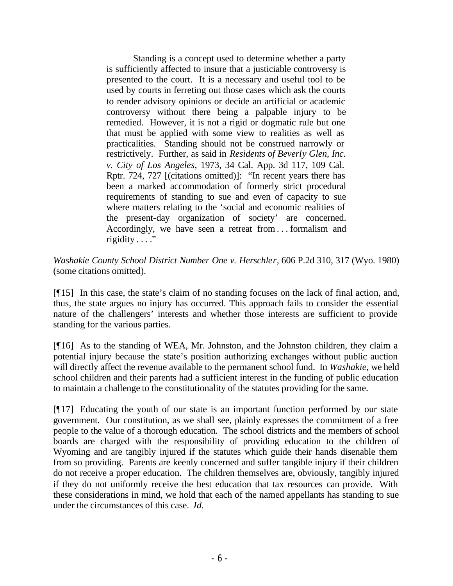Standing is a concept used to determine whether a party is sufficiently affected to insure that a justiciable controversy is presented to the court. It is a necessary and useful tool to be used by courts in ferreting out those cases which ask the courts to render advisory opinions or decide an artificial or academic controversy without there being a palpable injury to be remedied. However, it is not a rigid or dogmatic rule but one that must be applied with some view to realities as well as practicalities. Standing should not be construed narrowly or restrictively. Further, as said in *Residents of Beverly Glen, Inc. v. City of Los Angeles*, 1973, 34 Cal. App. 3d 117, 109 Cal. Rptr. 724, 727 [(citations omitted)]: "In recent years there has been a marked accommodation of formerly strict procedural requirements of standing to sue and even of capacity to sue where matters relating to the 'social and economic realities of the present-day organization of society' are concerned. Accordingly, we have seen a retreat from . . . formalism and rigidity  $\dots$ ."

*Washakie County School District Number One v. Herschler*, 606 P.2d 310, 317 (Wyo. 1980) (some citations omitted).

[¶15] In this case, the state's claim of no standing focuses on the lack of final action, and, thus, the state argues no injury has occurred. This approach fails to consider the essential nature of the challengers' interests and whether those interests are sufficient to provide standing for the various parties.

[¶16] As to the standing of WEA, Mr. Johnston, and the Johnston children, they claim a potential injury because the state's position authorizing exchanges without public auction will directly affect the revenue available to the permanent school fund. In *Washakie,* we held school children and their parents had a sufficient interest in the funding of public education to maintain a challenge to the constitutionality of the statutes providing for the same.

[¶17] Educating the youth of our state is an important function performed by our state government. Our constitution, as we shall see, plainly expresses the commitment of a free people to the value of a thorough education. The school districts and the members of school boards are charged with the responsibility of providing education to the children of Wyoming and are tangibly injured if the statutes which guide their hands disenable them from so providing. Parents are keenly concerned and suffer tangible injury if their children do not receive a proper education. The children themselves are, obviously, tangibly injured if they do not uniformly receive the best education that tax resources can provide. With these considerations in mind, we hold that each of the named appellants has standing to sue under the circumstances of this case. *Id.*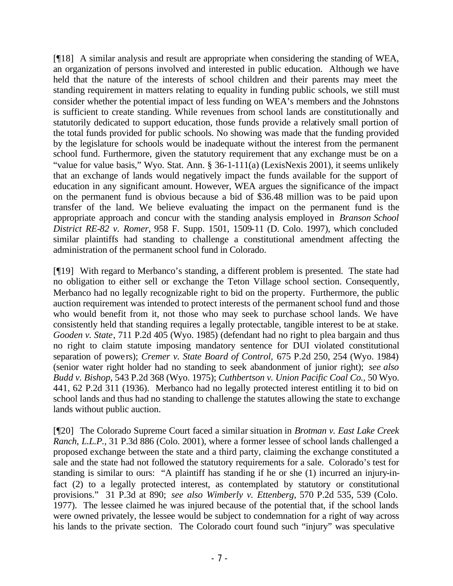[¶18] A similar analysis and result are appropriate when considering the standing of WEA, an organization of persons involved and interested in public education. Although we have held that the nature of the interests of school children and their parents may meet the standing requirement in matters relating to equality in funding public schools, we still must consider whether the potential impact of less funding on WEA's members and the Johnstons is sufficient to create standing. While revenues from school lands are constitutionally and statutorily dedicated to support education, those funds provide a relatively small portion of the total funds provided for public schools. No showing was made that the funding provided by the legislature for schools would be inadequate without the interest from the permanent school fund. Furthermore, given the statutory requirement that any exchange must be on a "value for value basis," Wyo. Stat. Ann. § 36-1-111(a) (LexisNexis 2001), it seems unlikely that an exchange of lands would negatively impact the funds available for the support of education in any significant amount. However, WEA argues the significance of the impact on the permanent fund is obvious because a bid of \$36.48 million was to be paid upon transfer of the land. We believe evaluating the impact on the permanent fund is the appropriate approach and concur with the standing analysis employed in *Branson School District RE-82 v. Romer,* 958 F. Supp. 1501, 1509-11 (D. Colo. 1997), which concluded similar plaintiffs had standing to challenge a constitutional amendment affecting the administration of the permanent school fund in Colorado.

[¶19] With regard to Merbanco's standing, a different problem is presented. The state had no obligation to either sell or exchange the Teton Village school section. Consequently, Merbanco had no legally recognizable right to bid on the property. Furthermore, the public auction requirement was intended to protect interests of the permanent school fund and those who would benefit from it, not those who may seek to purchase school lands. We have consistently held that standing requires a legally protectable, tangible interest to be at stake. *Gooden v. State*, 711 P.2d 405 (Wyo. 1985) (defendant had no right to plea bargain and thus no right to claim statute imposing mandatory sentence for DUI violated constitutional separation of powers); *Cremer v. State Board of Control,* 675 P.2d 250, 254 (Wyo. 1984) (senior water right holder had no standing to seek abandonment of junior right); *see also Budd v. Bishop*, 543 P.2d 368 (Wyo. 1975); *Cuthbertson v. Union Pacific Coal Co.,* 50 Wyo. 441, 62 P.2d 311 (1936). Merbanco had no legally protected interest entitling it to bid on school lands and thus had no standing to challenge the statutes allowing the state to exchange lands without public auction.

[¶20] The Colorado Supreme Court faced a similar situation in *Brotman v. East Lake Creek Ranch, L.L.P.,* 31 P.3d 886 (Colo. 2001), where a former lessee of school lands challenged a proposed exchange between the state and a third party, claiming the exchange constituted a sale and the state had not followed the statutory requirements for a sale. Colorado's test for standing is similar to ours: "A plaintiff has standing if he or she (1) incurred an injury-infact (2) to a legally protected interest, as contemplated by statutory or constitutional provisions." 31 P.3d at 890; *see also Wimberly v. Ettenberg*, 570 P.2d 535, 539 (Colo. 1977). The lessee claimed he was injured because of the potential that, if the school lands were owned privately, the lessee would be subject to condemnation for a right of way across his lands to the private section. The Colorado court found such "injury" was speculative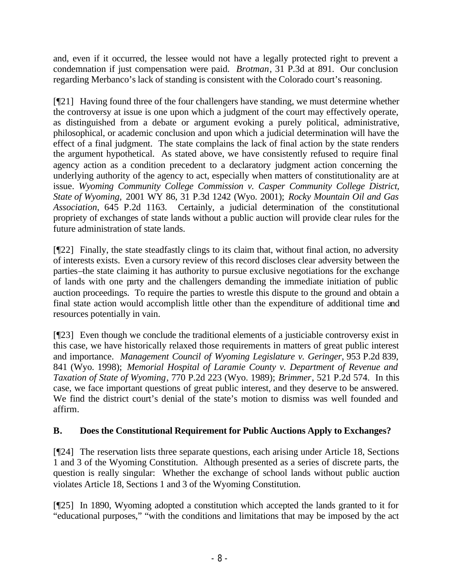and, even if it occurred, the lessee would not have a legally protected right to prevent a condemnation if just compensation were paid. *Brotman*, 31 P.3d at 891. Our conclusion regarding Merbanco's lack of standing is consistent with the Colorado court's reasoning.

[¶21] Having found three of the four challengers have standing, we must determine whether the controversy at issue is one upon which a judgment of the court may effectively operate, as distinguished from a debate or argument evoking a purely political, administrative, philosophical, or academic conclusion and upon which a judicial determination will have the effect of a final judgment. The state complains the lack of final action by the state renders the argument hypothetical. As stated above, we have consistently refused to require final agency action as a condition precedent to a declaratory judgment action concerning the underlying authority of the agency to act, especially when matters of constitutionality are at issue. *Wyoming Community College Commission v. Casper Community College District, State of Wyoming,* 2001 WY 86, 31 P.3d 1242 (Wyo. 2001); *Rocky Mountain Oil and Gas Association*, 645 P.2d 1163. Certainly, a judicial determination of the constitutional propriety of exchanges of state lands without a public auction will provide clear rules for the future administration of state lands.

[¶22] Finally, the state steadfastly clings to its claim that, without final action, no adversity of interests exists. Even a cursory review of this record discloses clear adversity between the parties–the state claiming it has authority to pursue exclusive negotiations for the exchange of lands with one party and the challengers demanding the immediate initiation of public auction proceedings. To require the parties to wrestle this dispute to the ground and obtain a final state action would accomplish little other than the expenditure of additional time and resources potentially in vain.

[¶23] Even though we conclude the traditional elements of a justiciable controversy exist in this case, we have historically relaxed those requirements in matters of great public interest and importance. *Management Council of Wyoming Legislature v. Geringer*, 953 P.2d 839, 841 (Wyo. 1998); *Memorial Hospital of Laramie County v. Department of Revenue and Taxation of State of Wyoming*, 770 P.2d 223 (Wyo. 1989); *Brimmer*, 521 P.2d 574. In this case, we face important questions of great public interest, and they deserve to be answered. We find the district court's denial of the state's motion to dismiss was well founded and affirm.

## **B. Does the Constitutional Requirement for Public Auctions Apply to Exchanges?**

[¶24] The reservation lists three separate questions, each arising under Article 18, Sections 1 and 3 of the Wyoming Constitution. Although presented as a series of discrete parts, the question is really singular: Whether the exchange of school lands without public auction violates Article 18, Sections 1 and 3 of the Wyoming Constitution.

[¶25] In 1890, Wyoming adopted a constitution which accepted the lands granted to it for "educational purposes," "with the conditions and limitations that may be imposed by the act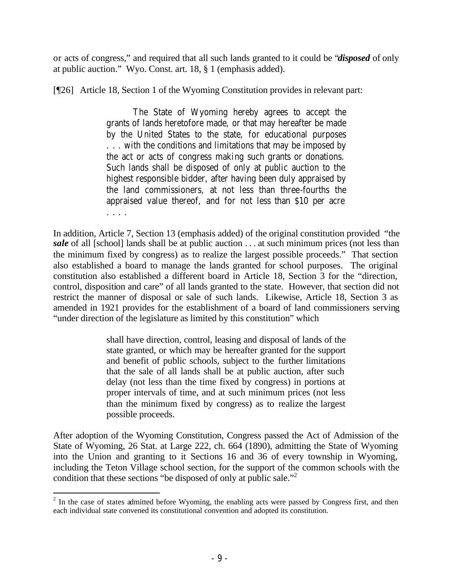or acts of congress," and required that all such lands granted to it could be "*disposed* of only at public auction." Wyo. Const. art. 18, § 1 (emphasis added).

[¶26] Article 18, Section 1 of the Wyoming Constitution provides in relevant part:

The State of Wyoming hereby agrees to accept the grants of lands heretofore made, or that may hereafter be made by the United States to the state, for educational purposes . . . with the conditions and limitations that may be imposed by the act or acts of congress making such grants or donations. Such lands shall be disposed of only at public auction to the highest responsible bidder, after having been duly appraised by the land commissioners, at not less than three-fourths the appraised value thereof, and for not less than \$10 per acre . . . .

In addition, Article 7, Section 13 (emphasis added) of the original constitution provided "the *sale* of all [school] lands shall be at public auction . . . at such minimum prices (not less than the minimum fixed by congress) as to realize the largest possible proceeds." That section also established a board to manage the lands granted for school purposes. The original constitution also established a different board in Article 18, Section 3 for the "direction, control, disposition and care" of all lands granted to the state. However, that section did not restrict the manner of disposal or sale of such lands. Likewise, Article 18, Section 3 as amended in 1921 provides for the establishment of a board of land commissioners serving "under direction of the legislature as limited by this constitution" which

> shall have direction, control, leasing and disposal of lands of the state granted, or which may be hereafter granted for the support and benefit of public schools, subject to the further limitations that the sale of all lands shall be at public auction, after such delay (not less than the time fixed by congress) in portions at proper intervals of time, and at such minimum prices (not less than the minimum fixed by congress) as to realize the largest possible proceeds.

After adoption of the Wyoming Constitution, Congress passed the Act of Admission of the State of Wyoming, 26 Stat. at Large 222, ch. 664 (1890), admitting the State of Wyoming into the Union and granting to it Sections 16 and 36 of every township in Wyoming, including the Teton Village school section, for the support of the common schools with the condition that these sections "be disposed of only at public sale."<sup>2</sup>

  $2<sup>2</sup>$  In the case of states admitted before Wyoming, the enabling acts were passed by Congress first, and then each individual state convened its constitutional convention and adopted its constitution.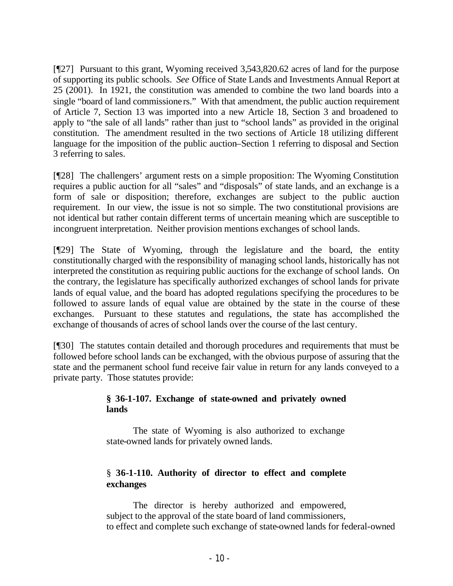[¶27] Pursuant to this grant, Wyoming received 3,543,820.62 acres of land for the purpose of supporting its public schools. *See* Office of State Lands and Investments Annual Report at 25 (2001). In 1921, the constitution was amended to combine the two land boards into a single "board of land commissioners." With that amendment, the public auction requirement of Article 7, Section 13 was imported into a new Article 18, Section 3 and broadened to apply to "the sale of all lands" rather than just to "school lands" as provided in the original constitution. The amendment resulted in the two sections of Article 18 utilizing different language for the imposition of the public auction–Section 1 referring to disposal and Section 3 referring to sales.

[¶28] The challengers' argument rests on a simple proposition: The Wyoming Constitution requires a public auction for all "sales" and "disposals" of state lands, and an exchange is a form of sale or disposition; therefore, exchanges are subject to the public auction requirement. In our view, the issue is not so simple. The two constitutional provisions are not identical but rather contain different terms of uncertain meaning which are susceptible to incongruent interpretation. Neither provision mentions exchanges of school lands.

[¶29] The State of Wyoming, through the legislature and the board, the entity constitutionally charged with the responsibility of managing school lands, historically has not interpreted the constitution as requiring public auctions for the exchange of school lands. On the contrary, the legislature has specifically authorized exchanges of school lands for private lands of equal value, and the board has adopted regulations specifying the procedures to be followed to assure lands of equal value are obtained by the state in the course of these exchanges. Pursuant to these statutes and regulations, the state has accomplished the exchange of thousands of acres of school lands over the course of the last century.

[¶30] The statutes contain detailed and thorough procedures and requirements that must be followed before school lands can be exchanged, with the obvious purpose of assuring that the state and the permanent school fund receive fair value in return for any lands conveyed to a private party. Those statutes provide:

## **§ 36-1-107. Exchange of state-owned and privately owned lands**

The state of Wyoming is also authorized to exchange state-owned lands for privately owned lands.

## § **36-1-110. Authority of director to effect and complete exchanges**

The director is hereby authorized and empowered, subject to the approval of the state board of land commissioners, to effect and complete such exchange of state-owned lands for federal-owned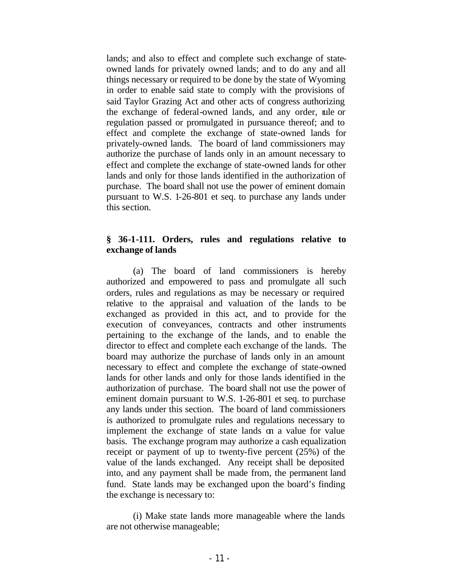lands; and also to effect and complete such exchange of stateowned lands for privately owned lands; and to do any and all things necessary or required to be done by the state of Wyoming in order to enable said state to comply with the provisions of said Taylor Grazing Act and other acts of congress authorizing the exchange of federal-owned lands, and any order, rule or regulation passed or promulgated in pursuance thereof; and to effect and complete the exchange of state-owned lands for privately-owned lands. The board of land commissioners may authorize the purchase of lands only in an amount necessary to effect and complete the exchange of state-owned lands for other lands and only for those lands identified in the authorization of purchase. The board shall not use the power of eminent domain pursuant to W.S. 1-26-801 et seq. to purchase any lands under this section.

#### **§ 36-1-111. Orders, rules and regulations relative to exchange of lands**

(a) The board of land commissioners is hereby authorized and empowered to pass and promulgate all such orders, rules and regulations as may be necessary or required relative to the appraisal and valuation of the lands to be exchanged as provided in this act, and to provide for the execution of conveyances, contracts and other instruments pertaining to the exchange of the lands, and to enable the director to effect and complete each exchange of the lands. The board may authorize the purchase of lands only in an amount necessary to effect and complete the exchange of state-owned lands for other lands and only for those lands identified in the authorization of purchase. The board shall not use the power of eminent domain pursuant to W.S. 1-26-801 et seq. to purchase any lands under this section. The board of land commissioners is authorized to promulgate rules and regulations necessary to implement the exchange of state lands on a value for value basis. The exchange program may authorize a cash equalization receipt or payment of up to twenty-five percent (25%) of the value of the lands exchanged. Any receipt shall be deposited into, and any payment shall be made from, the permanent land fund. State lands may be exchanged upon the board's finding the exchange is necessary to:

(i) Make state lands more manageable where the lands are not otherwise manageable;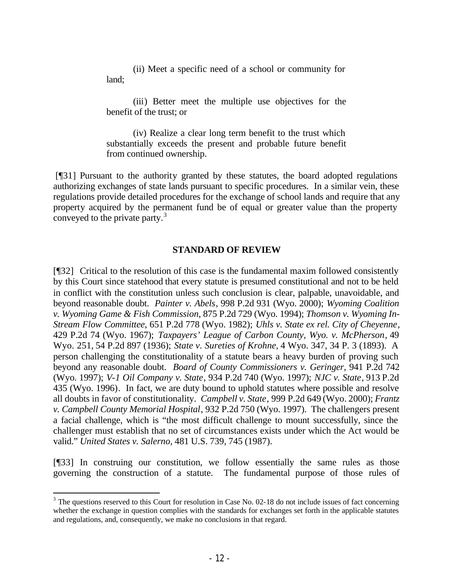(ii) Meet a specific need of a school or community for land;

(iii) Better meet the multiple use objectives for the benefit of the trust; or

(iv) Realize a clear long term benefit to the trust which substantially exceeds the present and probable future benefit from continued ownership.

 [¶31] Pursuant to the authority granted by these statutes, the board adopted regulations authorizing exchanges of state lands pursuant to specific procedures. In a similar vein, these regulations provide detailed procedures for the exchange of school lands and require that any property acquired by the permanent fund be of equal or greater value than the property conveyed to the private party.<sup>3</sup>

#### **STANDARD OF REVIEW**

[¶32] Critical to the resolution of this case is the fundamental maxim followed consistently by this Court since statehood that every statute is presumed constitutional and not to be held in conflict with the constitution unless such conclusion is clear, palpable, unavoidable, and beyond reasonable doubt. *Painter v. Abels*, 998 P.2d 931 (Wyo. 2000); *Wyoming Coalition v. Wyoming Game & Fish Commission*, 875 P.2d 729 (Wyo. 1994); *Thomson v. Wyoming In-Stream Flow Committee*, 651 P.2d 778 (Wyo. 1982); *Uhls v. State ex rel. City of Cheyenne*, 429 P.2d 74 (Wyo. 1967); *Taxpayers' League of Carbon County, Wyo. v. McPherson*, 49 Wyo. 251, 54 P.2d 897 (1936); *State v. Sureties of Krohne,* 4 Wyo. 347, 34 P. 3 (1893). A person challenging the constitutionality of a statute bears a heavy burden of proving such beyond any reasonable doubt. *Board of County Commissioners v. Geringer*, 941 P.2d 742 (Wyo. 1997); *V-1 Oil Company v. State*, 934 P.2d 740 (Wyo. 1997); *NJC v. State*, 913 P.2d 435 (Wyo. 1996). In fact, we are duty bound to uphold statutes where possible and resolve all doubts in favor of constitutionality. *Campbell v. State*, 999 P.2d 649 (Wyo. 2000); *Frantz v. Campbell County Memorial Hospital*, 932 P.2d 750 (Wyo. 1997). The challengers present a facial challenge, which is "the most difficult challenge to mount successfully, since the challenger must establish that no set of circumstances exists under which the Act would be valid." *United States v. Salerno,* 481 U.S. 739, 745 (1987).

[¶33] In construing our constitution, we follow essentially the same rules as those governing the construction of a statute. The fundamental purpose of those rules of

 $3$  The questions reserved to this Court for resolution in Case No. 02-18 do not include issues of fact concerning whether the exchange in question complies with the standards for exchanges set forth in the applicable statutes and regulations, and, consequently, we make no conclusions in that regard.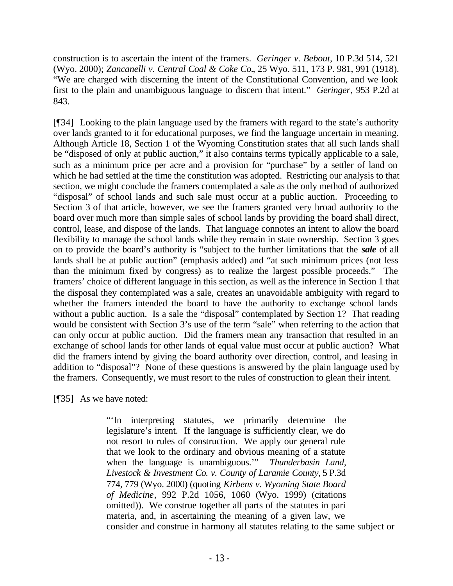construction is to ascertain the intent of the framers. *Geringer v. Bebout*, 10 P.3d 514, 521 (Wyo. 2000); *Zancanelli v. Central Coal & Coke Co.*, 25 Wyo. 511, 173 P. 981, 991 (1918). "We are charged with discerning the intent of the Constitutional Convention, and we look first to the plain and unambiguous language to discern that intent." *Geringer*, 953 P.2d at 843.

[¶34] Looking to the plain language used by the framers with regard to the state's authority over lands granted to it for educational purposes, we find the language uncertain in meaning. Although Article 18, Section 1 of the Wyoming Constitution states that all such lands shall be "disposed of only at public auction," it also contains terms typically applicable to a sale, such as a minimum price per acre and a provision for "purchase" by a settler of land on which he had settled at the time the constitution was adopted. Restricting our analysis to that section, we might conclude the framers contemplated a sale as the only method of authorized "disposal" of school lands and such sale must occur at a public auction. Proceeding to Section 3 of that article, however, we see the framers granted very broad authority to the board over much more than simple sales of school lands by providing the board shall direct, control, lease, and dispose of the lands. That language connotes an intent to allow the board flexibility to manage the school lands while they remain in state ownership. Section 3 goes on to provide the board's authority is "subject to the further limitations that the *sale* of all lands shall be at public auction" (emphasis added) and "at such minimum prices (not less than the minimum fixed by congress) as to realize the largest possible proceeds." The framers' choice of different language in this section, as well as the inference in Section 1 that the disposal they contemplated was a sale, creates an unavoidable ambiguity with regard to whether the framers intended the board to have the authority to exchange school lands without a public auction. Is a sale the "disposal" contemplated by Section 1? That reading would be consistent with Section 3's use of the term "sale" when referring to the action that can only occur at public auction. Did the framers mean any transaction that resulted in an exchange of school lands for other lands of equal value must occur at public auction? What did the framers intend by giving the board authority over direction, control, and leasing in addition to "disposal"? None of these questions is answered by the plain language used by the framers. Consequently, we must resort to the rules of construction to glean their intent.

[¶35] As we have noted:

"'In interpreting statutes, we primarily determine the legislature's intent. If the language is sufficiently clear, we do not resort to rules of construction. We apply our general rule that we look to the ordinary and obvious meaning of a statute when the language is unambiguous.'" *Thunderbasin Land, Livestock & Investment Co. v. County of Laramie County*, 5 P.3d 774, 779 (Wyo. 2000) (quoting *Kirbens v. Wyoming State Board of Medicine*, 992 P.2d 1056, 1060 (Wyo. 1999) (citations omitted)). We construe together all parts of the statutes in pari materia, and, in ascertaining the meaning of a given law, we consider and construe in harmony all statutes relating to the same subject or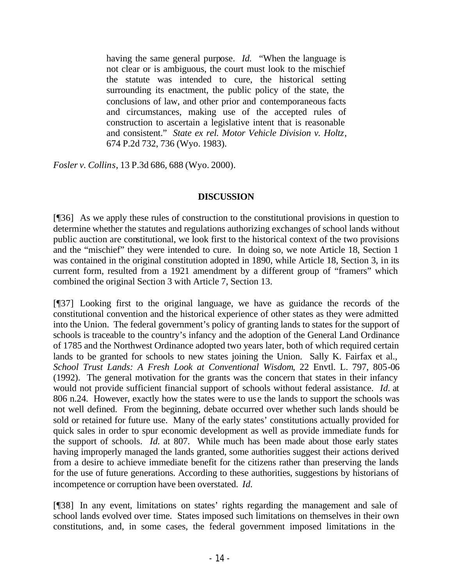having the same general purpose. *Id.* "When the language is not clear or is ambiguous, the court must look to the mischief the statute was intended to cure, the historical setting surrounding its enactment, the public policy of the state, the conclusions of law, and other prior and contemporaneous facts and circumstances, making use of the accepted rules of construction to ascertain a legislative intent that is reasonable and consistent." *State ex rel. Motor Vehicle Division v. Holtz*, 674 P.2d 732, 736 (Wyo. 1983).

*Fosler v. Collins*, 13 P.3d 686, 688 (Wyo. 2000).

## **DISCUSSION**

[¶36] As we apply these rules of construction to the constitutional provisions in question to determine whether the statutes and regulations authorizing exchanges of school lands without public auction are constitutional, we look first to the historical context of the two provisions and the "mischief" they were intended to cure. In doing so, we note Article 18, Section 1 was contained in the original constitution adopted in 1890, while Article 18, Section 3, in its current form, resulted from a 1921 amendment by a different group of "framers" which combined the original Section 3 with Article 7, Section 13.

[¶37] Looking first to the original language, we have as guidance the records of the constitutional convention and the historical experience of other states as they were admitted into the Union. The federal government's policy of granting lands to states for the support of schools is traceable to the country's infancy and the adoption of the General Land Ordinance of 1785 and the Northwest Ordinance adopted two years later, both of which required certain lands to be granted for schools to new states joining the Union. Sally K. Fairfax et al., *School Trust Lands: A Fresh Look at Conventional Wisdom*, 22 Envtl. L. 797, 805-06 (1992). The general motivation for the grants was the concern that states in their infancy would not provide sufficient financial support of schools without federal assistance. *Id.* at 806 n.24. However, exactly how the states were to use the lands to support the schools was not well defined. From the beginning, debate occurred over whether such lands should be sold or retained for future use. Many of the early states' constitutions actually provided for quick sales in order to spur economic development as well as provide immediate funds for the support of schools. *Id.* at 807. While much has been made about those early states having improperly managed the lands granted, some authorities suggest their actions derived from a desire to achieve immediate benefit for the citizens rather than preserving the lands for the use of future generations. According to these authorities, suggestions by historians of incompetence or corruption have been overstated. *Id.*

[¶38] In any event, limitations on states' rights regarding the management and sale of school lands evolved over time. States imposed such limitations on themselves in their own constitutions, and, in some cases, the federal government imposed limitations in the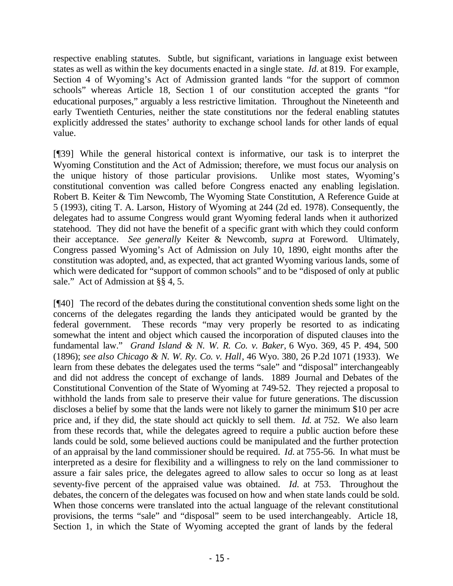respective enabling statutes. Subtle, but significant, variations in language exist between states as well as within the key documents enacted in a single state. *Id.* at 819. For example, Section 4 of Wyoming's Act of Admission granted lands "for the support of common schools" whereas Article 18, Section 1 of our constitution accepted the grants "for educational purposes," arguably a less restrictive limitation. Throughout the Nineteenth and early Twentieth Centuries, neither the state constitutions nor the federal enabling statutes explicitly addressed the states' authority to exchange school lands for other lands of equal value.

[¶39] While the general historical context is informative, our task is to interpret the Wyoming Constitution and the Act of Admission; therefore, we must focus our analysis on the unique history of those particular provisions. Unlike most states, Wyoming's constitutional convention was called before Congress enacted any enabling legislation. Robert B. Keiter & Tim Newcomb, The Wyoming State Constitution, A Reference Guide at 5 (1993), citing T. A. Larson, History of Wyoming at 244 (2d ed. 1978). Consequently, the delegates had to assume Congress would grant Wyoming federal lands when it authorized statehood. They did not have the benefit of a specific grant with which they could conform their acceptance. *See generally* Keiter & Newcomb, *supra* at Foreword. Ultimately, Congress passed Wyoming's Act of Admission on July 10, 1890, eight months after the constitution was adopted, and, as expected, that act granted Wyoming various lands, some of which were dedicated for "support of common schools" and to be "disposed of only at public sale." Act of Admission at §§ 4, 5.

[¶40] The record of the debates during the constitutional convention sheds some light on the concerns of the delegates regarding the lands they anticipated would be granted by the federal government. These records "may very properly be resorted to as indicating somewhat the intent and object which caused the incorporation of disputed clauses into the fundamental law." *Grand Island & N. W. R. Co. v. Baker,* 6 Wyo. 369, 45 P. 494, 500 (1896); *see also Chicago & N. W. Ry. Co. v. Hall*, 46 Wyo. 380, 26 P.2d 1071 (1933). We learn from these debates the delegates used the terms "sale" and "disposal" interchangeably and did not address the concept of exchange of lands. 1889 Journal and Debates of the Constitutional Convention of the State of Wyoming at 749-52. They rejected a proposal to withhold the lands from sale to preserve their value for future generations. The discussion discloses a belief by some that the lands were not likely to garner the minimum \$10 per acre price and, if they did, the state should act quickly to sell them. *Id.* at 752. We also learn from these records that, while the delegates agreed to require a public auction before these lands could be sold, some believed auctions could be manipulated and the further protection of an appraisal by the land commissioner should be required. *Id.* at 755-56. In what must be interpreted as a desire for flexibility and a willingness to rely on the land commissioner to assure a fair sales price, the delegates agreed to allow sales to occur so long as at least seventy-five percent of the appraised value was obtained. *Id.* at 753. Throughout the debates, the concern of the delegates was focused on how and when state lands could be sold. When those concerns were translated into the actual language of the relevant constitutional provisions, the terms "sale" and "disposal" seem to be used interchangeably. Article 18, Section 1, in which the State of Wyoming accepted the grant of lands by the federal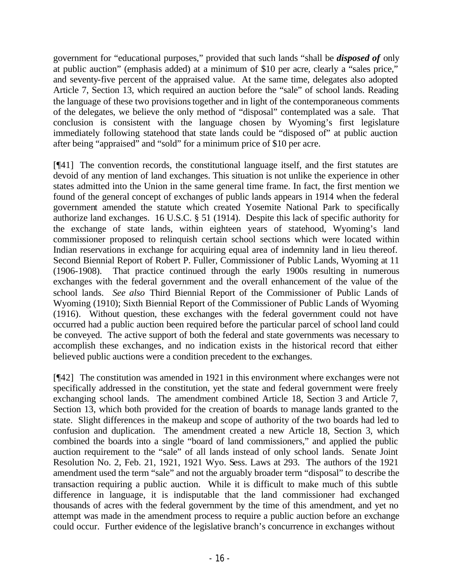government for "educational purposes," provided that such lands "shall be *disposed of* only at public auction" (emphasis added) at a minimum of \$10 per acre, clearly a "sales price," and seventy-five percent of the appraised value. At the same time, delegates also adopted Article 7, Section 13, which required an auction before the "sale" of school lands. Reading the language of these two provisions together and in light of the contemporaneous comments of the delegates, we believe the only method of "disposal" contemplated was a sale. That conclusion is consistent with the language chosen by Wyoming's first legislature immediately following statehood that state lands could be "disposed of" at public auction after being "appraised" and "sold" for a minimum price of \$10 per acre.

[¶41] The convention records, the constitutional language itself, and the first statutes are devoid of any mention of land exchanges. This situation is not unlike the experience in other states admitted into the Union in the same general time frame. In fact, the first mention we found of the general concept of exchanges of public lands appears in 1914 when the federal government amended the statute which created Yosemite National Park to specifically authorize land exchanges. 16 U.S.C. § 51 (1914). Despite this lack of specific authority for the exchange of state lands, within eighteen years of statehood, Wyoming's land commissioner proposed to relinquish certain school sections which were located within Indian reservations in exchange for acquiring equal area of indemnity land in lieu thereof. Second Biennial Report of Robert P. Fuller, Commissioner of Public Lands, Wyoming at 11 (1906-1908). That practice continued through the early 1900s resulting in numerous exchanges with the federal government and the overall enhancement of the value of the school lands. *See also* Third Biennial Report of the Commissioner of Public Lands of Wyoming (1910); Sixth Biennial Report of the Commissioner of Public Lands of Wyoming (1916).Without question, these exchanges with the federal government could not have occurred had a public auction been required before the particular parcel of school land could be conveyed. The active support of both the federal and state governments was necessary to accomplish these exchanges, and no indication exists in the historical record that either believed public auctions were a condition precedent to the exchanges.

[¶42] The constitution was amended in 1921 in this environment where exchanges were not specifically addressed in the constitution, yet the state and federal government were freely exchanging school lands. The amendment combined Article 18, Section 3 and Article 7, Section 13, which both provided for the creation of boards to manage lands granted to the state. Slight differences in the makeup and scope of authority of the two boards had led to confusion and duplication. The amendment created a new Article 18, Section 3, which combined the boards into a single "board of land commissioners," and applied the public auction requirement to the "sale" of all lands instead of only school lands. Senate Joint Resolution No. 2, Feb. 21, 1921, 1921 Wyo. Sess. Laws at 293. The authors of the 1921 amendment used the term "sale" and not the arguably broader term "disposal" to describe the transaction requiring a public auction. While it is difficult to make much of this subtle difference in language, it is indisputable that the land commissioner had exchanged thousands of acres with the federal government by the time of this amendment, and yet no attempt was made in the amendment process to require a public auction before an exchange could occur. Further evidence of the legislative branch's concurrence in exchanges without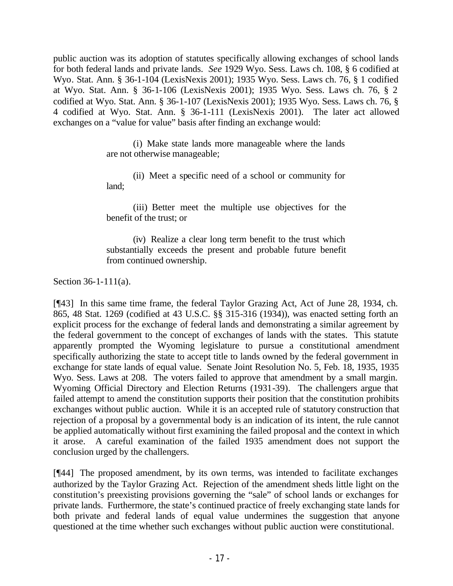public auction was its adoption of statutes specifically allowing exchanges of school lands for both federal lands and private lands. *See* 1929 Wyo. Sess. Laws ch. 108, § 6 codified at Wyo. Stat. Ann. § 36-1-104 (LexisNexis 2001); 1935 Wyo. Sess. Laws ch. 76, § 1 codified at Wyo. Stat. Ann. § 36-1-106 (LexisNexis 2001); 1935 Wyo. Sess. Laws ch. 76, § 2 codified at Wyo. Stat. Ann. § 36-1-107 (LexisNexis 2001); 1935 Wyo. Sess. Laws ch. 76, § 4 codified at Wyo. Stat. Ann. § 36-1-111 (LexisNexis 2001). The later act allowed exchanges on a "value for value" basis after finding an exchange would:

> (i) Make state lands more manageable where the lands are not otherwise manageable;

> (ii) Meet a specific need of a school or community for land;

> (iii) Better meet the multiple use objectives for the benefit of the trust; or

> (iv) Realize a clear long term benefit to the trust which substantially exceeds the present and probable future benefit from continued ownership.

Section 36-1-111(a).

[¶43] In this same time frame, the federal Taylor Grazing Act, Act of June 28, 1934, ch. 865, 48 Stat. 1269 (codified at 43 U.S.C. §§ 315-316 (1934)), was enacted setting forth an explicit process for the exchange of federal lands and demonstrating a similar agreement by the federal government to the concept of exchanges of lands with the states. This statute apparently prompted the Wyoming legislature to pursue a constitutional amendment specifically authorizing the state to accept title to lands owned by the federal government in exchange for state lands of equal value. Senate Joint Resolution No. 5, Feb. 18, 1935, 1935 Wyo. Sess. Laws at 208. The voters failed to approve that amendment by a small margin. Wyoming Official Directory and Election Returns (1931-39). The challengers argue that failed attempt to amend the constitution supports their position that the constitution prohibits exchanges without public auction. While it is an accepted rule of statutory construction that rejection of a proposal by a governmental body is an indication of its intent, the rule cannot be applied automatically without first examining the failed proposal and the context in which it arose. A careful examination of the failed 1935 amendment does not support the conclusion urged by the challengers.

[¶44] The proposed amendment, by its own terms, was intended to facilitate exchanges authorized by the Taylor Grazing Act. Rejection of the amendment sheds little light on the constitution's preexisting provisions governing the "sale" of school lands or exchanges for private lands. Furthermore, the state's continued practice of freely exchanging state lands for both private and federal lands of equal value undermines the suggestion that anyone questioned at the time whether such exchanges without public auction were constitutional.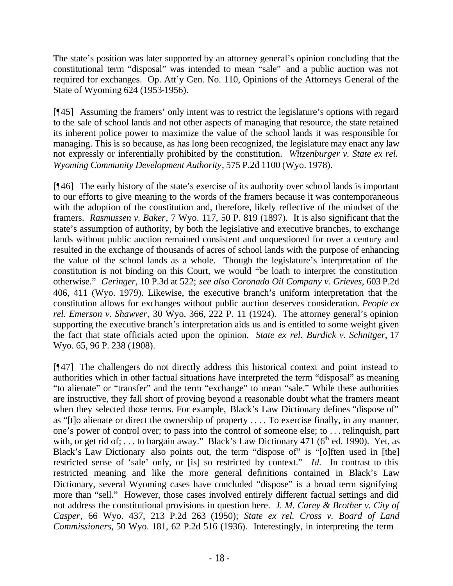The state's position was later supported by an attorney general's opinion concluding that the constitutional term "disposal" was intended to mean "sale" and a public auction was not required for exchanges. Op. Att'y Gen. No. 110, Opinions of the Attorneys General of the State of Wyoming 624 (1953-1956).

[¶45] Assuming the framers' only intent was to restrict the legislature's options with regard to the sale of school lands and not other aspects of managing that resource, the state retained its inherent police power to maximize the value of the school lands it was responsible for managing. This is so because, as has long been recognized, the legislature may enact any law not expressly or inferentially prohibited by the constitution. *Witzenburger v. State ex rel. Wyoming Community Development Authority*, 575 P.2d 1100 (Wyo. 1978).

[¶46] The early history of the state's exercise of its authority over school lands is important to our efforts to give meaning to the words of the framers because it was contemporaneous with the adoption of the constitution and, therefore, likely reflective of the mindset of the framers. *Rasmussen v. Baker*, 7 Wyo. 117, 50 P. 819 (1897). It is also significant that the state's assumption of authority, by both the legislative and executive branches, to exchange lands without public auction remained consistent and unquestioned for over a century and resulted in the exchange of thousands of acres of school lands with the purpose of enhancing the value of the school lands as a whole. Though the legislature's interpretation of the constitution is not binding on this Court, we would "be loath to interpret the constitution otherwise." *Geringer*, 10 P.3d at 522; *see also Coronado Oil Company v. Grieves,* 603 P.2d 406, 411 (Wyo. 1979). Likewise, the executive branch's uniform interpretation that the constitution allows for exchanges without public auction deserves consideration. *People ex rel. Emerson v. Shawver*, 30 Wyo. 366, 222 P. 11 (1924). The attorney general's opinion supporting the executive branch's interpretation aids us and is entitled to some weight given the fact that state officials acted upon the opinion. *State ex rel. Burdick v. Schnitger*, 17 Wyo. 65, 96 P. 238 (1908).

[¶47] The challengers do not directly address this historical context and point instead to authorities which in other factual situations have interpreted the term "disposal" as meaning "to alienate" or "transfer" and the term "exchange" to mean "sale." While these authorities are instructive, they fall short of proving beyond a reasonable doubt what the framers meant when they selected those terms. For example, Black's Law Dictionary defines "dispose of" as "[t]o alienate or direct the ownership of property . . . . To exercise finally, in any manner, one's power of control over; to pass into the control of someone else; to . . . relinquish, part with, or get rid of; ... to bargain away." Black's Law Dictionary 471 ( $6<sup>th</sup>$  ed. 1990). Yet, as Black's Law Dictionary also points out, the term "dispose of" is "[o]ften used in [the] restricted sense of 'sale' only, or [is] so restricted by context." *Id.* In contrast to this restricted meaning and like the more general definitions contained in Black's Law Dictionary, several Wyoming cases have concluded "dispose" is a broad term signifying more than "sell." However, those cases involved entirely different factual settings and did not address the constitutional provisions in question here. *J. M. Carey & Brother v. City of Casper*, 66 Wyo. 437, 213 P.2d 263 (1950); *State ex rel. Cross v. Board of Land Commissioners,* 50 Wyo. 181, 62 P.2d 516 (1936). Interestingly, in interpreting the term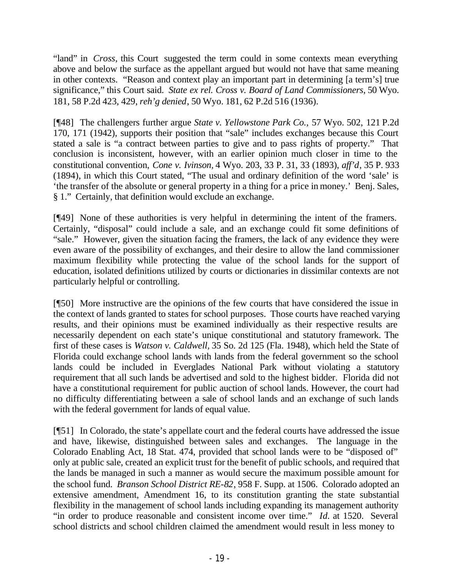"land" in *Cross,* this Court suggested the term could in some contexts mean everything above and below the surface as the appellant argued but would not have that same meaning in other contexts. "Reason and context play an important part in determining [a term's] true significance," this Court said. *State ex rel. Cross v. Board of Land Commissioners*, 50 Wyo. 181, 58 P.2d 423, 429, *reh'g denied*, 50 Wyo. 181, 62 P.2d 516 (1936).

[¶48] The challengers further argue *State v. Yellowstone Park Co.,* 57 Wyo. 502, 121 P.2d 170, 171 (1942), supports their position that "sale" includes exchanges because this Court stated a sale is "a contract between parties to give and to pass rights of property." That conclusion is inconsistent, however, with an earlier opinion much closer in time to the constitutional convention, *Cone v. Ivinson,* 4 Wyo. 203, 33 P. 31, 33 (1893), *aff'd*, 35 P. 933 (1894), in which this Court stated, "The usual and ordinary definition of the word 'sale' is 'the transfer of the absolute or general property in a thing for a price in money.' Benj. Sales, § 1." Certainly, that definition would exclude an exchange.

[¶49] None of these authorities is very helpful in determining the intent of the framers. Certainly, "disposal" could include a sale, and an exchange could fit some definitions of "sale." However, given the situation facing the framers, the lack of any evidence they were even aware of the possibility of exchanges, and their desire to allow the land commissioner maximum flexibility while protecting the value of the school lands for the support of education, isolated definitions utilized by courts or dictionaries in dissimilar contexts are not particularly helpful or controlling.

[¶50] More instructive are the opinions of the few courts that have considered the issue in the context of lands granted to states for school purposes. Those courts have reached varying results, and their opinions must be examined individually as their respective results are necessarily dependent on each state's unique constitutional and statutory framework. The first of these cases is *Watson v. Caldwell,* 35 So. 2d 125 (Fla. 1948), which held the State of Florida could exchange school lands with lands from the federal government so the school lands could be included in Everglades National Park without violating a statutory requirement that all such lands be advertised and sold to the highest bidder. Florida did not have a constitutional requirement for public auction of school lands. However, the court had no difficulty differentiating between a sale of school lands and an exchange of such lands with the federal government for lands of equal value.

[¶51] In Colorado, the state's appellate court and the federal courts have addressed the issue and have, likewise, distinguished between sales and exchanges. The language in the Colorado Enabling Act, 18 Stat. 474, provided that school lands were to be "disposed of" only at public sale, created an explicit trust for the benefit of public schools, and required that the lands be managed in such a manner as would secure the maximum possible amount for the school fund. *Branson School District RE-82*, 958 F. Supp. at 1506. Colorado adopted an extensive amendment, Amendment 16, to its constitution granting the state substantial flexibility in the management of school lands including expanding its management authority "in order to produce reasonable and consistent income over time." *Id.* at 1520. Several school districts and school children claimed the amendment would result in less money to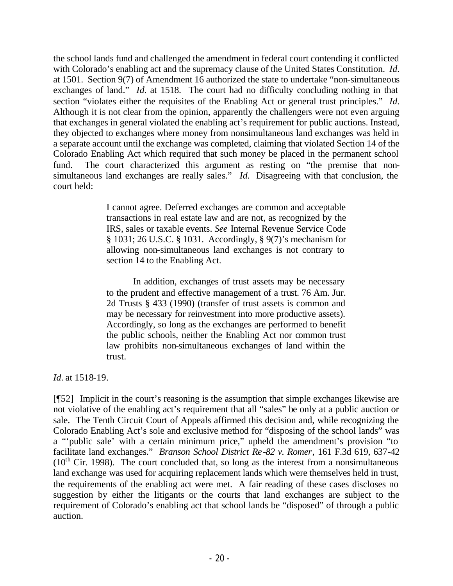the school lands fund and challenged the amendment in federal court contending it conflicted with Colorado's enabling act and the supremacy clause of the United States Constitution. *Id.* at 1501. Section 9(7) of Amendment 16 authorized the state to undertake "non-simultaneous exchanges of land." *Id.* at 1518. The court had no difficulty concluding nothing in that section "violates either the requisites of the Enabling Act or general trust principles." *Id.* Although it is not clear from the opinion, apparently the challengers were not even arguing that exchanges in general violated the enabling act's requirement for public auctions. Instead, they objected to exchanges where money from nonsimultaneous land exchanges was held in a separate account until the exchange was completed, claiming that violated Section 14 of the Colorado Enabling Act which required that such money be placed in the permanent school fund. The court characterized this argument as resting on "the premise that nonsimultaneous land exchanges are really sales." *Id.* Disagreeing with that conclusion, the court held:

> I cannot agree. Deferred exchanges are common and acceptable transactions in real estate law and are not, as recognized by the IRS, sales or taxable events. *See* Internal Revenue Service Code § 1031; 26 U.S.C. § 1031. Accordingly, § 9(7)'s mechanism for allowing non-simultaneous land exchanges is not contrary to section 14 to the Enabling Act.

> In addition, exchanges of trust assets may be necessary to the prudent and effective management of a trust. 76 Am. Jur. 2d Trusts § 433 (1990) (transfer of trust assets is common and may be necessary for reinvestment into more productive assets). Accordingly, so long as the exchanges are performed to benefit the public schools, neither the Enabling Act nor common trust law prohibits non-simultaneous exchanges of land within the trust.

*Id.* at 1518-19.

[¶52] Implicit in the court's reasoning is the assumption that simple exchanges likewise are not violative of the enabling act's requirement that all "sales" be only at a public auction or sale. The Tenth Circuit Court of Appeals affirmed this decision and, while recognizing the Colorado Enabling Act's sole and exclusive method for "disposing of the school lands" was a "'public sale' with a certain minimum price," upheld the amendment's provision "to facilitate land exchanges." *Branson School District Re-82 v. Romer*, 161 F.3d 619, 637-42  $(10<sup>th</sup>$  Cir. 1998). The court concluded that, so long as the interest from a nonsimultaneous land exchange was used for acquiring replacement lands which were themselves held in trust, the requirements of the enabling act were met. A fair reading of these cases discloses no suggestion by either the litigants or the courts that land exchanges are subject to the requirement of Colorado's enabling act that school lands be "disposed" of through a public auction.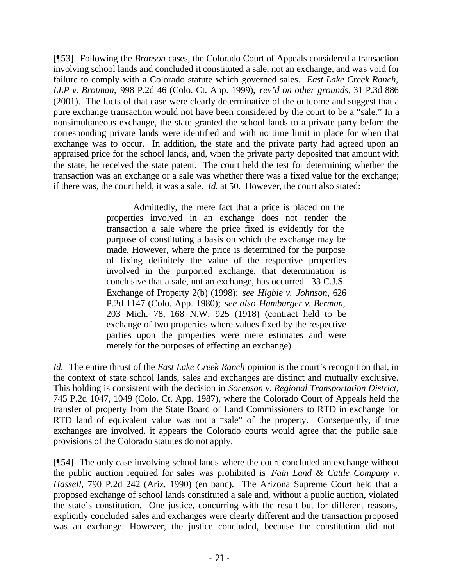[¶53] Following the *Branson* cases, the Colorado Court of Appeals considered a transaction involving school lands and concluded it constituted a sale, not an exchange, and was void for failure to comply with a Colorado statute which governed sales. *East Lake Creek Ranch, LLP v. Brotman,* 998 P.2d 46 (Colo. Ct. App. 1999), *rev'd on other grounds*, 31 P.3d 886 (2001). The facts of that case were clearly determinative of the outcome and suggest that a pure exchange transaction would not have been considered by the court to be a "sale." In a nonsimultaneous exchange, the state granted the school lands to a private party before the corresponding private lands were identified and with no time limit in place for when that exchange was to occur. In addition, the state and the private party had agreed upon an appraised price for the school lands, and, when the private party deposited that amount with the state, he received the state patent. The court held the test for determining whether the transaction was an exchange or a sale was whether there was a fixed value for the exchange; if there was, the court held, it was a sale. *Id.* at 50. However, the court also stated:

> Admittedly, the mere fact that a price is placed on the properties involved in an exchange does not render the transaction a sale where the price fixed is evidently for the purpose of constituting a basis on which the exchange may be made. However, where the price is determined for the purpose of fixing definitely the value of the respective properties involved in the purported exchange, that determination is conclusive that a sale, not an exchange, has occurred. 33 C.J.S. Exchange of Property 2(b) (1998); *see Higbie v. Johnson,* 626 P.2d 1147 (Colo. App. 1980); *see also Hamburger v. Berman,*  203 Mich. 78, 168 N.W. 925 (1918) (contract held to be exchange of two properties where values fixed by the respective parties upon the properties were mere estimates and were merely for the purposes of effecting an exchange).

*Id.* The entire thrust of the *East Lake Creek Ranch* opinion is the court's recognition that, in the context of state school lands, sales and exchanges are distinct and mutually exclusive. This holding is consistent with the decision in *Sorenson v. Regional Transportation District,*  745 P.2d 1047, 1049 (Colo. Ct. App. 1987), where the Colorado Court of Appeals held the transfer of property from the State Board of Land Commissioners to RTD in exchange for RTD land of equivalent value was not a "sale" of the property. Consequently, if true exchanges are involved, it appears the Colorado courts would agree that the public sale provisions of the Colorado statutes do not apply.

[¶54] The only case involving school lands where the court concluded an exchange without the public auction required for sales was prohibited is *Fain Land & Cattle Company v. Hassell,* 790 P.2d 242 (Ariz. 1990) (en banc). The Arizona Supreme Court held that a proposed exchange of school lands constituted a sale and, without a public auction, violated the state's constitution. One justice, concurring with the result but for different reasons, explicitly concluded sales and exchanges were clearly different and the transaction proposed was an exchange. However, the justice concluded, because the constitution did not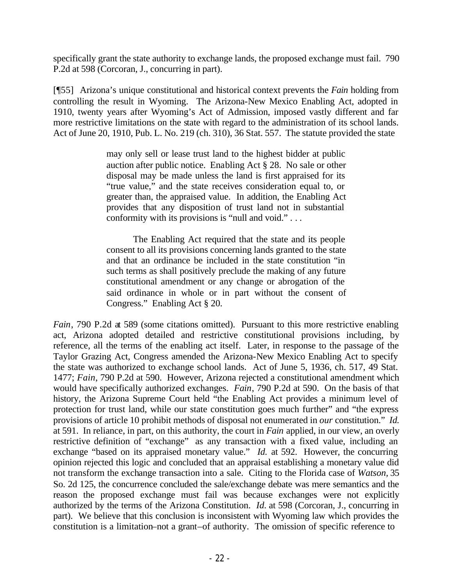specifically grant the state authority to exchange lands, the proposed exchange must fail. 790 P.2d at 598 (Corcoran, J., concurring in part).

[¶55] Arizona's unique constitutional and historical context prevents the *Fain* holding from controlling the result in Wyoming. The Arizona-New Mexico Enabling Act, adopted in 1910, twenty years after Wyoming's Act of Admission, imposed vastly different and far more restrictive limitations on the state with regard to the administration of its school lands. Act of June 20, 1910, Pub. L. No. 219 (ch. 310), 36 Stat. 557. The statute provided the state

> may only sell or lease trust land to the highest bidder at public auction after public notice. Enabling Act § 28. No sale or other disposal may be made unless the land is first appraised for its "true value," and the state receives consideration equal to, or greater than, the appraised value. In addition, the Enabling Act provides that any disposition of trust land not in substantial conformity with its provisions is "null and void." . . .

> The Enabling Act required that the state and its people consent to all its provisions concerning lands granted to the state and that an ordinance be included in the state constitution "in such terms as shall positively preclude the making of any future constitutional amendment or any change or abrogation of the said ordinance in whole or in part without the consent of Congress." Enabling Act § 20.

*Fain*, 790 P.2d at 589 (some citations omitted). Pursuant to this more restrictive enabling act, Arizona adopted detailed and restrictive constitutional provisions including, by reference, all the terms of the enabling act itself. Later, in response to the passage of the Taylor Grazing Act, Congress amended the Arizona-New Mexico Enabling Act to specify the state was authorized to exchange school lands. Act of June 5, 1936, ch. 517, 49 Stat. 1477; *Fain*, 790 P.2d at 590. However, Arizona rejected a constitutional amendment which would have specifically authorized exchanges. *Fain*, 790 P.2d at 590. On the basis of that history, the Arizona Supreme Court held "the Enabling Act provides a minimum level of protection for trust land, while our state constitution goes much further" and "the express provisions of article 10 prohibit methods of disposal not enumerated in *our* constitution." *Id.*  at 591. In reliance, in part, on this authority, the court in *Fain* applied, in our view, an overly restrictive definition of "exchange" as any transaction with a fixed value, including an exchange "based on its appraised monetary value." *Id.* at 592. However, the concurring opinion rejected this logic and concluded that an appraisal establishing a monetary value did not transform the exchange transaction into a sale. Citing to the Florida case of *Watson,* 35 So. 2d 125, the concurrence concluded the sale/exchange debate was mere semantics and the reason the proposed exchange must fail was because exchanges were not explicitly authorized by the terms of the Arizona Constitution. *Id.* at 598 (Corcoran, J., concurring in part). We believe that this conclusion is inconsistent with Wyoming law which provides the constitution is a limitation–not a grant–of authority. The omission of specific reference to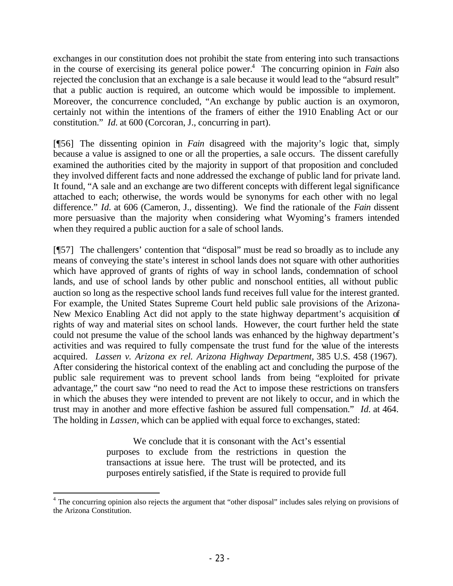exchanges in our constitution does not prohibit the state from entering into such transactions in the course of exercising its general police power.<sup>4</sup> The concurring opinion in *Fain* also rejected the conclusion that an exchange is a sale because it would lead to the "absurd result" that a public auction is required, an outcome which would be impossible to implement. Moreover, the concurrence concluded, "An exchange by public auction is an oxymoron, certainly not within the intentions of the framers of either the 1910 Enabling Act or our constitution." *Id.* at 600 (Corcoran, J., concurring in part).

[¶56] The dissenting opinion in *Fain* disagreed with the majority's logic that, simply because a value is assigned to one or all the properties, a sale occurs. The dissent carefully examined the authorities cited by the majority in support of that proposition and concluded they involved different facts and none addressed the exchange of public land for private land. It found, "A sale and an exchange are two different concepts with different legal significance attached to each; otherwise, the words would be synonyms for each other with no legal difference." *Id.* at 606 (Cameron, J., dissenting). We find the rationale of the *Fain* dissent more persuasive than the majority when considering what Wyoming's framers intended when they required a public auction for a sale of school lands.

[¶57] The challengers' contention that "disposal" must be read so broadly as to include any means of conveying the state's interest in school lands does not square with other authorities which have approved of grants of rights of way in school lands, condemnation of school lands, and use of school lands by other public and nonschool entities, all without public auction so long as the respective school lands fund receives full value for the interest granted. For example, the United States Supreme Court held public sale provisions of the Arizona-New Mexico Enabling Act did not apply to the state highway department's acquisition of rights of way and material sites on school lands. However, the court further held the state could not presume the value of the school lands was enhanced by the highway department's activities and was required to fully compensate the trust fund for the value of the interests acquired. *Lassen v. Arizona ex rel. Arizona Highway Department,* 385 U.S. 458 (1967). After considering the historical context of the enabling act and concluding the purpose of the public sale requirement was to prevent school lands from being "exploited for private advantage," the court saw "no need to read the Act to impose these restrictions on transfers in which the abuses they were intended to prevent are not likely to occur, and in which the trust may in another and more effective fashion be assured full compensation." *Id.* at 464. The holding in *Lassen,* which can be applied with equal force to exchanges, stated:

> We conclude that it is consonant with the Act's essential purposes to exclude from the restrictions in question the transactions at issue here. The trust will be protected, and its purposes entirely satisfied, if the State is required to provide full

<sup>&</sup>lt;sup>4</sup> The concurring opinion also rejects the argument that "other disposal" includes sales relying on provisions of the Arizona Constitution.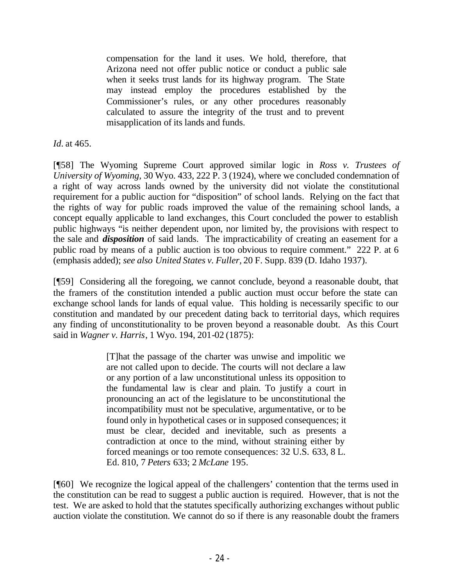compensation for the land it uses. We hold, therefore, that Arizona need not offer public notice or conduct a public sale when it seeks trust lands for its highway program. The State may instead employ the procedures established by the Commissioner's rules, or any other procedures reasonably calculated to assure the integrity of the trust and to prevent misapplication of its lands and funds.

*Id.* at 465.

[¶58] The Wyoming Supreme Court approved similar logic in *Ross v. Trustees of University of Wyoming,* 30 Wyo. 433, 222 P. 3 (1924), where we concluded condemnation of a right of way across lands owned by the university did not violate the constitutional requirement for a public auction for "disposition" of school lands. Relying on the fact that the rights of way for public roads improved the value of the remaining school lands, a concept equally applicable to land exchanges, this Court concluded the power to establish public highways "is neither dependent upon, nor limited by, the provisions with respect to the sale and *disposition* of said lands. The impracticability of creating an easement for a public road by means of a public auction is too obvious to require comment." 222 P. at 6 (emphasis added); *see also United States v. Fuller,* 20 F. Supp. 839 (D. Idaho 1937).

[¶59] Considering all the foregoing, we cannot conclude, beyond a reasonable doubt, that the framers of the constitution intended a public auction must occur before the state can exchange school lands for lands of equal value. This holding is necessarily specific to our constitution and mandated by our precedent dating back to territorial days, which requires any finding of unconstitutionality to be proven beyond a reasonable doubt. As this Court said in *Wagner v. Harris*, 1 Wyo. 194, 201-02 (1875):

> [T]hat the passage of the charter was unwise and impolitic we are not called upon to decide. The courts will not declare a law or any portion of a law unconstitutional unless its opposition to the fundamental law is clear and plain. To justify a court in pronouncing an act of the legislature to be unconstitutional the incompatibility must not be speculative, argumentative, or to be found only in hypothetical cases or in supposed consequences; it must be clear, decided and inevitable, such as presents a contradiction at once to the mind, without straining either by forced meanings or too remote consequences: 32 U.S. 633, 8 L. Ed. 810, 7 *Peters* 633; 2 *McLane* 195.

[¶60] We recognize the logical appeal of the challengers' contention that the terms used in the constitution can be read to suggest a public auction is required. However, that is not the test. We are asked to hold that the statutes specifically authorizing exchanges without public auction violate the constitution. We cannot do so if there is any reasonable doubt the framers